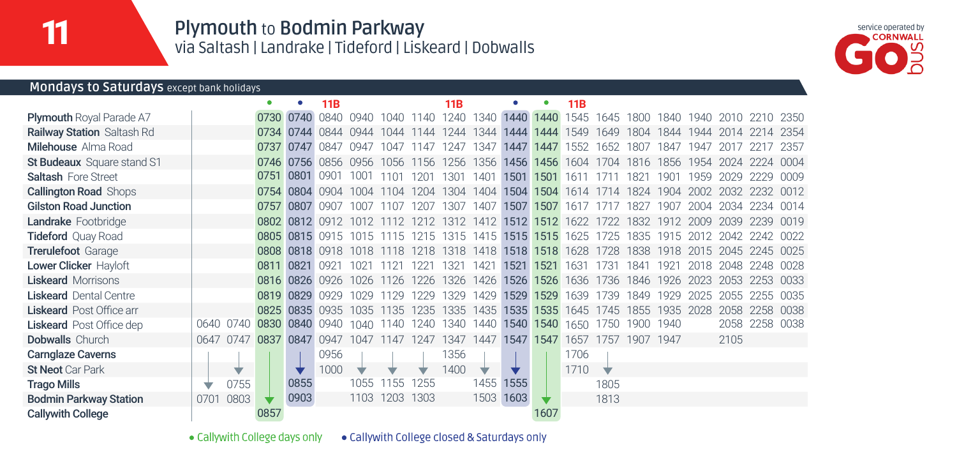**Plymouth** to **Bodmin Parkway** via Saltash | Landrake | Tideford | Liskeard | Dobwalls

**11B**



### **Mondays to Saturdays** except bank holidays

|                                   |      |                     |           |                     | 11B            |                |           |      | 11B  |                                                   |      |           | 11B                                                                                       |                     |      |      |      |           |                                         |        |
|-----------------------------------|------|---------------------|-----------|---------------------|----------------|----------------|-----------|------|------|---------------------------------------------------|------|-----------|-------------------------------------------------------------------------------------------|---------------------|------|------|------|-----------|-----------------------------------------|--------|
| <b>Plymouth Royal Parade A7</b>   |      |                     |           | 0730 0740 0840      |                | 0940 1040 1140 |           |      |      | 1240 1340                                         |      | 1440 1440 |                                                                                           |                     |      |      |      |           | 1545 1645 1800 1840 1940 2010 2210 2350 |        |
| <b>Railway Station Saltash Rd</b> |      |                     |           | 0734 0744 0844      |                | 0944           | 1044      | 1144 | 1244 | 1344                                              |      | 1444 1444 |                                                                                           |                     |      |      |      |           | 1549 1649 1804 1844 1944 2014 2214 2354 |        |
| <b>Milehouse</b> Alma Road        |      |                     |           | 0737 0747 0847      |                | 0947           | 1047      | 1147 | 1247 | 1347                                              |      | 1447 1447 | 1552                                                                                      | 1652 1807           |      | 1847 | 1947 |           |                                         | 2357   |
| St Budeaux Square stand S1        |      |                     |           | 0746 0756 0856 0956 |                |                | 1056      | 1156 | 1256 | 1356                                              |      | 1456 1456 |                                                                                           | 1604 1704 1816 1856 |      |      | 1954 |           | 2024 2224 0004                          |        |
| <b>Saltash Fore Street</b>        |      |                     | 0751 0801 |                     | 0901           | 1001           | 1101      | 1201 | 1301 | 1401                                              |      | 1501 1501 |                                                                                           | 1611 1711 1821      |      | 1901 | 1959 | 2029 2229 |                                         | 0009   |
| <b>Callington Road Shops</b>      |      |                     |           | 0754 0804 0904      |                | 1004           | 1104      | 1204 | 1304 | 1404                                              |      | 1504 1504 |                                                                                           |                     |      |      |      |           | 1614 1714 1824 1904 2002 2032 2232 0012 |        |
| <b>Gilston Road Junction</b>      |      |                     | 0757 0807 |                     | ngn7           | 1007           | 107       | 1207 | 1307 | 1407                                              | 1507 | 1507      | 1617                                                                                      | 1717                | 1827 | 1907 | 2004 | 2034      | 2234                                    | 0014   |
| Landrake Footbridge               |      |                     |           |                     |                |                |           |      |      | 0802 0812 0912 1012 1112 1212 1312 1412 1512 1512 |      |           |                                                                                           |                     |      |      |      |           | 1622 1722 1832 1912 2009 2039 2239 0019 |        |
| <b>Tideford Quay Road</b>         |      |                     |           |                     |                |                |           |      |      |                                                   |      |           | 0805 0815 0915 1015 1115 1215 1315 1415 1515 1515 1625 1725 1835 1915 2012 2042 2242 0022 |                     |      |      |      |           |                                         |        |
| <b>Trerulefoot Garage</b>         |      |                     |           | 0808 0818 0918      |                | 1018           | 1118      | 1218 | 1318 | 1418                                              |      | 1518 1518 | 1628                                                                                      | 1728                | 1838 | 1918 | 2015 |           | 2045 2245 0025                          |        |
| Lower Clicker Hayloft             |      |                     | 0811 0821 |                     | U <sub>d</sub> | $102^{\circ}$  | 121       |      | 1321 | 1421                                              | 1521 | 1521      | 1631                                                                                      | 1731                | 1841 | 1921 | 2018 | 2048      | 2248                                    | . በበ28 |
| <b>Liskeard Morrisons</b>         |      |                     |           | 0816 0826 0926      |                | 1026           | 1126      | 1226 | 1326 | 1426                                              |      | 1526 1526 |                                                                                           | 1636 1736 1846 1926 |      |      | 2023 | 2053      | 2253 0033                               |        |
| <b>Liskeard</b> Dental Centre     |      |                     |           | 0819 0829 0929      |                | 1029           | 1129      | 1229 | 1329 | 1429                                              | 1529 | 1529      | 1639 1739                                                                                 |                     | 1849 | 1929 | 2025 | 2055      | -2255                                   | 0035   |
| <b>Liskeard</b> Post Office arr   |      |                     |           | 0825 0835 0935      |                | 1035           | 1135      | 1235 | 1335 | 1435                                              | 1535 | 1535      |                                                                                           | 1645 1745 1855      |      | 1935 | 2028 | 2058      | 2258                                    | 0038   |
| <b>Liskeard</b> Post Office dep   |      | 0640 0740           |           | 0830 0840 0940      |                | 1040           | 1140      | 1240 | 1340 | 1440                                              |      | 1540 1540 |                                                                                           | 1650 1750 1900 1940 |      |      |      | 2058      | 2258 0038                               |        |
| <b>Dobwalls</b> Church            |      | 0647 0747 0837 0847 |           |                     | 0947           | 1047           | 1147 1247 |      |      | 1347 1447                                         |      | 1547 1547 |                                                                                           | 1657 1757 1907 1947 |      |      |      | 2105      |                                         |        |
| <b>Carnglaze Caverns</b>          |      |                     |           |                     | 0956           |                |           |      | 1356 |                                                   |      |           | 1706                                                                                      |                     |      |      |      |           |                                         |        |
| <b>St Neot Car Park</b>           |      | ₩                   |           |                     | 1000           |                |           |      | 1400 |                                                   |      |           | 1710                                                                                      | ₩                   |      |      |      |           |                                         |        |
| <b>Trago Mills</b>                |      | 0755                |           | 0855                |                | 1055           | 155       | 1255 |      | 1455                                              | 1555 |           |                                                                                           | 1805                |      |      |      |           |                                         |        |
| <b>Bodmin Parkway Station</b>     | 0701 | 0803                |           | 0903                |                | 1103 1203      |           | 1303 |      | 1503                                              | 1603 |           |                                                                                           | 1813                |      |      |      |           |                                         |        |
| <b>Callywith College</b>          |      |                     | 0857      |                     |                |                |           |      |      |                                                   |      | 1607      |                                                                                           |                     |      |      |      |           |                                         |        |

· Callywith College days only · Callywith College closed & Saturdays only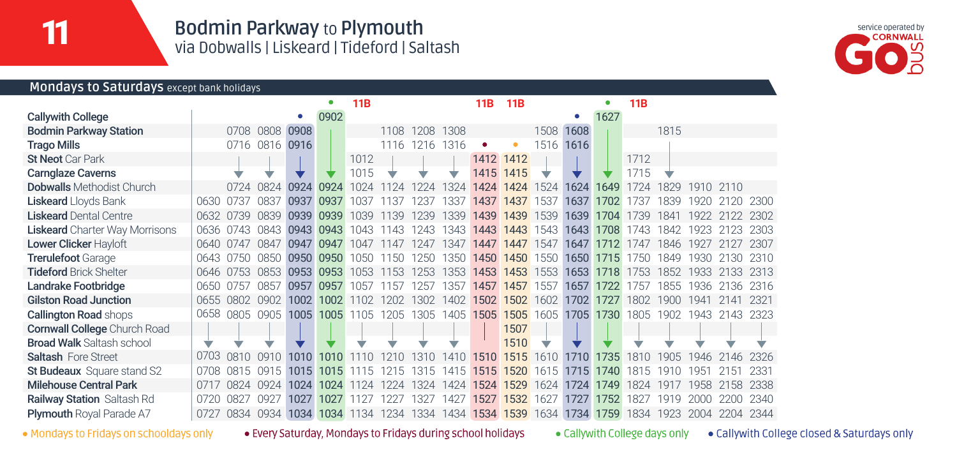# **Bodmin Parkway** to **Plymouth** via Dobwalls | Liskeard | Tideford | Saltash



#### **Mondays to Saturdays** except bank holidays

|                                       |      |             |      |       |      | 11B           |          |      |                      | 11B  | <b>11B</b> |      |      |      | 11B       |                 |           |      |      |
|---------------------------------------|------|-------------|------|-------|------|---------------|----------|------|----------------------|------|------------|------|------|------|-----------|-----------------|-----------|------|------|
| <b>Callywith College</b>              |      |             |      | ۰     | 0902 |               |          |      |                      |      |            |      | ۰    | 1627 |           |                 |           |      |      |
| <b>Bodmin Parkway Station</b>         |      | 0708        | 0808 | 0908  |      |               | 1108     | 1208 | 1308                 |      |            | 1508 | 1608 |      |           | 1815            |           |      |      |
| <b>Trago Mills</b>                    |      | 0716        | 0816 | 0916  |      |               | 1116     | 1216 | 1316                 | ٠    | ٥          | 1516 | 1616 |      |           |                 |           |      |      |
| <b>St Neot Car Park</b>               |      |             |      |       |      | 1012          |          |      |                      | 1412 | 1412       |      |      |      | 1712      |                 |           |      |      |
| <b>Carnglaze Caverns</b>              |      |             | ÷    |       |      | 1015          |          |      | ▽                    |      | 1415 1415  | v    |      |      | 1715      | ▽               |           |      |      |
| <b>Dobwalls</b> Methodist Church      |      | 0724        | 0824 | 0924  | 0924 | 1024          |          |      | 1324                 |      | 1424 1424  | 1524 | 1624 | 1649 | 1724      | 1829            | 1910 2110 |      |      |
| <b>Liskeard</b> Lloyds Bank           | 0630 | .0737       | 0837 | 0937  | 0937 | 037           | $13^{7}$ |      | 337                  | 1437 | 1437       | 537  | 1637 | 1702 | 3         | 839             | 1921      |      | 2300 |
| <b>Liskeard Dental Centre</b>         | 0632 | '39         | 0839 | 0939  | 0939 | 1039          | 139      | 239  | 1339                 | 1439 | 1439       | 1539 | 1639 | 1704 | 1739      | 1841            | 1922      |      | 2302 |
| <b>Liskeard</b> Charter Way Morrisons | 0636 | በ743        | 0843 | 0943  | 0943 | 1043          | 1143     | 243  | 1343                 | 1443 | 1443       | 1543 | 1643 | 1708 | 1743      | 1842            | 1923      |      | 2303 |
| Lower Clicker Hayloft                 | 0640 | 0747        | 0847 | 0947  | 0947 | 1047          | 1147     | 1247 | 1347                 | 1447 | 1447       | 1547 | 1647 | 1712 | 1747      | 1846            | 192       |      | 2307 |
| <b>Trerulefoot Garage</b>             | 0643 | -0750       | 0850 | 0950  | 0950 | 1050          | 1150     | 1250 | 1350                 | 1450 | 1450       | 1550 | 1650 | 1715 | 1750      | 1849            | 1930      | 130  | 2310 |
| <b>Tideford Brick Shelter</b>         | 0646 | 0753        | 0853 | 0953  | 0953 | 1053          | 153      | 253  | 1353                 | 1453 | 1453       | 1553 | 1653 | 1718 | 1753      | 1852            | 1933      | 33   | 2313 |
| Landrake Footbridge                   | 0650 | 0757        | 0857 | 0957  | 0957 | 1057          | 157      | 257  | 1357                 | 1457 | 1457       | 1557 | 1657 | 1722 | 1757      | 1855            | 936       | 136  | 2316 |
| <b>Gilston Road Junction</b>          | 0655 | <b>0802</b> | 0902 | 1002. | 1002 | 102           | 1202     | 1302 | 1402                 | 1502 | 1502       | 1602 | 1702 | 1727 | 1802      | 1900            | 941       |      | 2321 |
| <b>Callington Road shops</b>          | 0658 | 0805        | 0905 | 1005  | 1005 | 1105          | 1205     | 1305 | 1405                 | 1505 | 1505       | 1605 | 1705 | 1730 | 1805      | 1902            | 1943      | 143  | 2323 |
| <b>Cornwall College Church Road</b>   |      |             |      |       |      |               |          |      |                      |      | 1507       |      |      |      |           |                 |           |      |      |
| <b>Broad Walk Saltash school</b>      | ÷    |             |      |       |      |               |          |      |                      |      | 1510       |      |      |      |           |                 |           |      |      |
| <b>Saltash Fore Street</b>            | 0703 | 0810        | 0910 | 1010  | 1010 |               |          | 1310 | 1410                 | 1510 | 1515       | 1610 | 1710 | 1735 | 1810      | 1905            | 946       | 146  | 2326 |
| <b>St Budeaux</b> Square stand S2     | 0708 | ־פר<br>5    | 0915 | 1015  | 1015 | $\mathcal{F}$ |          | 31   | (4)<br>$\mathcal{F}$ | 1515 | 1520       | 1615 | 1715 | 1740 | 181<br>.5 | -197            | 951       | 151  | 2331 |
| <b>Milehouse Central Park</b>         | 0717 | 0824        | 0924 | 1024  | 1024 | 24            |          | 1324 | 1424                 | 1524 | 1529       | 1624 | 1724 | 1749 | 1824      | 1Q <sup>-</sup> | 1958      | 58   | 2338 |
| Railway Station Saltash Rd            | 0720 | 0827        | 0927 | 1027  | 1027 |               |          | 1327 | 1427                 | 1527 | 1532       | 1627 | 1727 | 1752 | 1821      | i 91<br>q       | 2000      | 2200 | 2340 |
| Plymouth Royal Parade A7              | 0727 | 0834        | 0934 | 1034  | 1034 | 1134          | 1234     | 1334 | 1434                 | 1534 | 1539       | 1634 | 1734 | 1759 | 1834      | 1923            | 2004      | 2204 | 2344 |

. Mondays to Fridays on schooldays only

. Every Saturday, Mondays to Fridays during school holidays

· Callywith College days only · Callywith College closed & Saturdays only